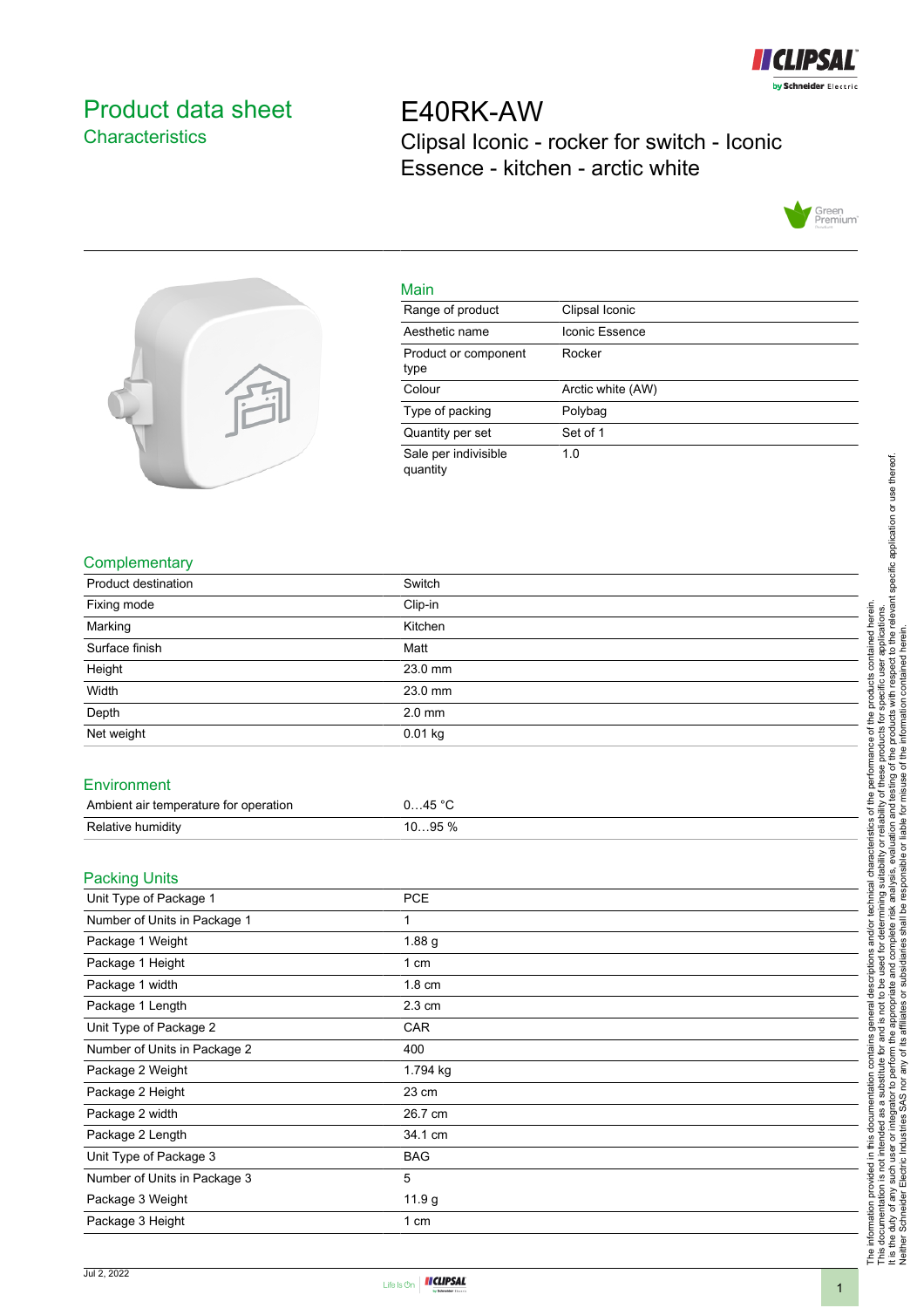

## <span id="page-0-0"></span>Product data sheet **Characteristics**

E40RK-AW Clipsal Iconic - rocker for switch - Iconic Essence - kitchen - arctic white





| iviain                           |                   |
|----------------------------------|-------------------|
| Range of product                 | Clipsal Iconic    |
| Aesthetic name                   | Iconic Essence    |
| Product or component<br>type     | Rocker            |
| Colour                           | Arctic white (AW) |
| Type of packing                  | Polybag           |
| Quantity per set                 | Set of 1          |
| Sale per indivisible<br>quantity | 1.0               |
|                                  |                   |

## **Complementary**

| <b>Product destination</b>                     | Switch            |  |
|------------------------------------------------|-------------------|--|
| Fixing mode                                    | Clip-in           |  |
| Marking                                        | Kitchen           |  |
| Surface finish                                 | Matt              |  |
| Height                                         | 23.0 mm           |  |
| Width                                          | 23.0 mm           |  |
| Depth                                          | $2.0$ mm          |  |
| Net weight                                     | $0.01$ kg         |  |
| Environment                                    |                   |  |
| Ambient air temperature for operation          | 045 °C            |  |
| Relative humidity                              | 1095 %            |  |
| <b>Packing Units</b><br>Unit Type of Package 1 | PCE               |  |
| Number of Units in Package 1                   | 1                 |  |
|                                                |                   |  |
| Package 1 Weight                               | 1.88 <sub>g</sub> |  |
| Package 1 Height                               | 1 cm              |  |
| Package 1 width                                | 1.8 cm            |  |
| Package 1 Length                               | $2.3 \text{ cm}$  |  |
| Unit Type of Package 2                         | CAR               |  |
| Number of Units in Package 2                   | 400               |  |
| Package 2 Weight                               | 1.794 kg          |  |
| Package 2 Height                               | 23 cm             |  |
| Package 2 width                                | 26.7 cm           |  |
| Package 2 Length                               | 34.1 cm           |  |
| Unit Type of Package 3                         | <b>BAG</b>        |  |
| Number of Units in Package 3                   | 5                 |  |
| Package 3 Weight                               | 11.9 g            |  |
| Package 3 Height                               | 1 cm              |  |
|                                                |                   |  |

Main